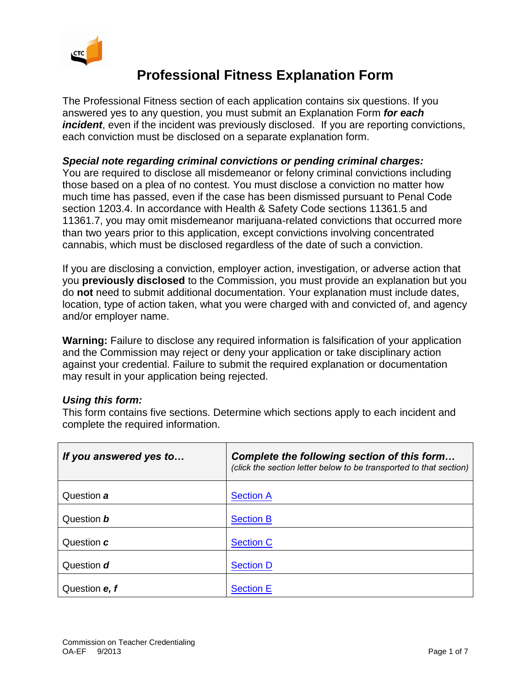

## **Professional Fitness Explanation Form**

The Professional Fitness section of each application contains six questions. If you answered yes to any question, you must submit an Explanation Form *for each incident*, even if the incident was previously disclosed. If you are reporting convictions, each conviction must be disclosed on a separate explanation form.

## *Special note regarding criminal convictions or pending criminal charges:*

You are required to disclose all misdemeanor or felony criminal convictions including those based on a plea of no contest. You must disclose a conviction no matter how much time has passed, even if the case has been dismissed pursuant to Penal Code section 1203.4. In accordance with Health & Safety Code sections 11361.5 and 11361.7, you may omit misdemeanor marijuana-related convictions that occurred more than two years prior to this application, except convictions involving concentrated cannabis, which must be disclosed regardless of the date of such a conviction.

If you are disclosing a conviction, employer action, investigation, or adverse action that you **previously disclosed** to the Commission, you must provide an explanation but you do **not** need to submit additional documentation. Your explanation must include dates, location, type of action taken, what you were charged with and convicted of, and agency and/or employer name.

**Warning:** Failure to disclose any required information is falsification of your application and the Commission may reject or deny your application or take disciplinary action against your credential. Failure to submit the required explanation or documentation may result in your application being rejected.

## *Using this form:*

This form contains five sections. Determine which sections apply to each incident and complete the required information.

| If you answered yes to | Complete the following section of this form<br>(click the section letter below to be transported to that section) |
|------------------------|-------------------------------------------------------------------------------------------------------------------|
| Question a             | <b>Section A</b>                                                                                                  |
| Question <b>b</b>      | <b>Section B</b>                                                                                                  |
| Question c             | <b>Section C</b>                                                                                                  |
| Question d             | <b>Section D</b>                                                                                                  |
| Question e, f          | <b>Section E</b>                                                                                                  |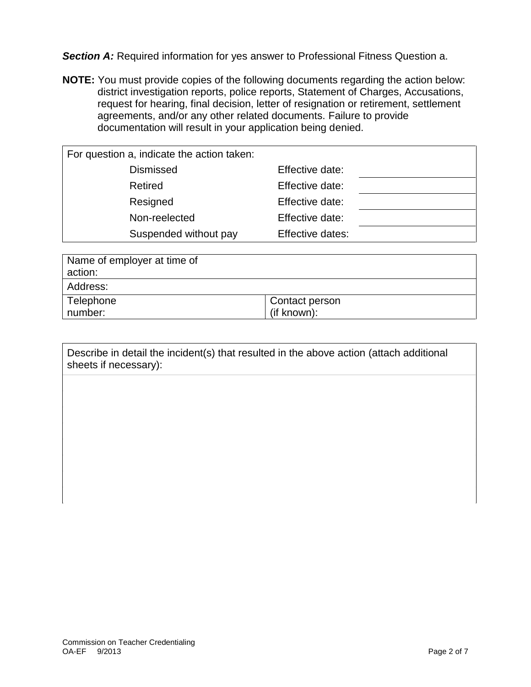<span id="page-1-0"></span>**Section A:** Required information for yes answer to Professional Fitness Question a.

**NOTE:** You must provide copies of the following documents regarding the action below: district investigation reports, police reports, Statement of Charges, Accusations, request for hearing, final decision, letter of resignation or retirement, settlement agreements, and/or any other related documents. Failure to provide documentation will result in your application being denied.

| For question a, indicate the action taken: |                  |
|--------------------------------------------|------------------|
| <b>Dismissed</b>                           | Effective date:  |
| Retired                                    | Effective date:  |
| Resigned                                   | Effective date:  |
| Non-reelected                              | Effective date:  |
| Suspended without pay                      | Effective dates: |

| Name of employer at time of<br>action: |                               |
|----------------------------------------|-------------------------------|
| Address:                               |                               |
| Telephone<br>number:                   | Contact person<br>(if known): |

Describe in detail the incident(s) that resulted in the above action (attach additional sheets if necessary):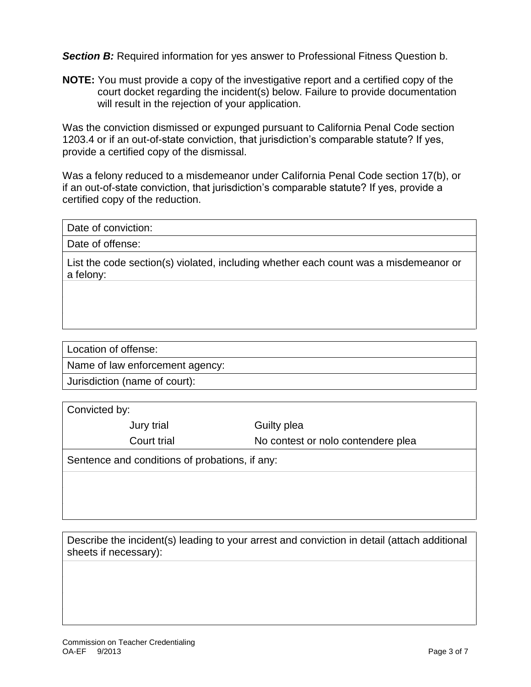<span id="page-2-0"></span>**Section B:** Required information for yes answer to Professional Fitness Question b.

**NOTE:** You must provide a copy of the investigative report and a certified copy of the court docket regarding the incident(s) below. Failure to provide documentation will result in the rejection of your application.

Was the conviction dismissed or expunged pursuant to California Penal Code section 1203.4 or if an out-of-state conviction, that jurisdiction's comparable statute? If yes, provide a certified copy of the dismissal.

Was a felony reduced to a misdemeanor under California Penal Code section 17(b), or if an out-of-state conviction, that jurisdiction's comparable statute? If yes, provide a certified copy of the reduction.

Date of offense:

List the code section(s) violated, including whether each count was a misdemeanor or a felony:

Location of offense:

Name of law enforcement agency:

Jurisdiction (name of court):

Convicted by:

Jury trial Guilty plea

Court trial No contest or nolo contendere plea

Sentence and conditions of probations, if any:

Describe the incident(s) leading to your arrest and conviction in detail (attach additional sheets if necessary):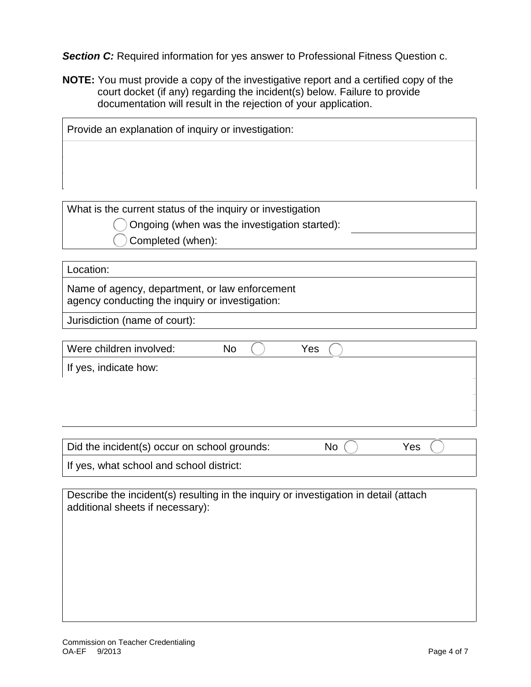<span id="page-3-0"></span>**Section C:** Required information for yes answer to Professional Fitness Question c.

**NOTE:** You must provide a copy of the investigative report and a certified copy of the court docket (if any) regarding the incident(s) below. Failure to provide documentation will result in the rejection of your application.

| Provide an explanation of inquiry or investigation:        |  |  |
|------------------------------------------------------------|--|--|
|                                                            |  |  |
|                                                            |  |  |
|                                                            |  |  |
| What is the current status of the inquiry or investigation |  |  |

Ongoing (when was the investigation started):

Completed (when):

## Location:

Name of agency, department, or law enforcement agency conducting the inquiry or investigation:

Jurisdiction (name of court):

| Were children involved: | <b>No</b> | Yes |
|-------------------------|-----------|-----|
| If yes, indicate how:   |           |     |
|                         |           |     |
|                         |           |     |
|                         |           |     |

| Did the incident(s) occur on school grounds: | No | Yes |
|----------------------------------------------|----|-----|
| If yes, what school and school district:     |    |     |

Describe the incident(s) resulting in the inquiry or investigation in detail (attach additional sheets if necessary):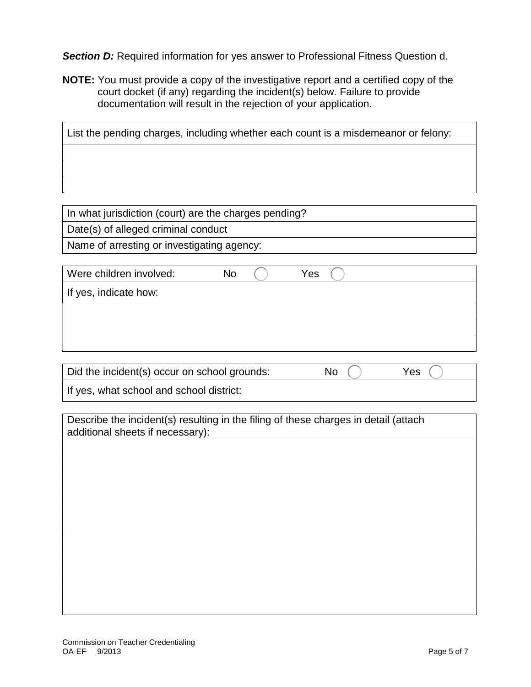<span id="page-4-0"></span>**Section D:** Required information for yes answer to Professional Fitness Question d.

**NOTE:** You must provide a copy of the investigative report and a certified copy of the court docket (if any) regarding the incident(s) below. Failure to provide documentation will result in the rejection of your application.

| List the pending charges, including whether each count is a misdemeanor or felony: |  |  |  |  |
|------------------------------------------------------------------------------------|--|--|--|--|
|                                                                                    |  |  |  |  |
|                                                                                    |  |  |  |  |
|                                                                                    |  |  |  |  |

In what jurisdiction (court) are the charges pending? Date(s) of alleged criminal conduct Name of arresting or investigating agency:

| Were children involved: | No | Yes |  |
|-------------------------|----|-----|--|
| If yes, indicate how:   |    |     |  |
|                         |    |     |  |
|                         |    |     |  |

| Did the incident(s) occur on school grounds: | No | Yes |
|----------------------------------------------|----|-----|
| If yes, what school and school district:     |    |     |

Describe the incident(s) resulting in the filing of these charges in detail (attach additional sheets if necessary):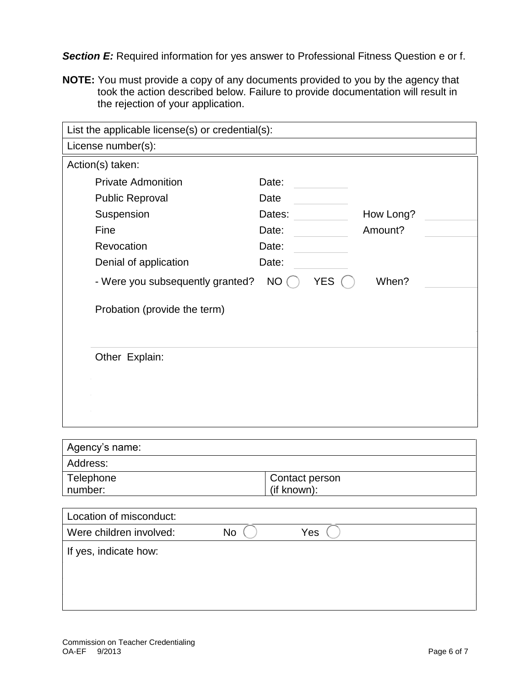<span id="page-5-0"></span>**Section E:** Required information for yes answer to Professional Fitness Question e or f.

**NOTE:** You must provide a copy of any documents provided to you by the agency that took the action described below. Failure to provide documentation will result in the rejection of your application.

| List the applicable license(s) or credential(s): |                  |           |
|--------------------------------------------------|------------------|-----------|
| License number(s):                               |                  |           |
| Action(s) taken:                                 |                  |           |
| <b>Private Admonition</b>                        | Date:            |           |
| <b>Public Reproval</b>                           | Date             |           |
| Suspension                                       | Dates:           | How Long? |
| Fine                                             | Date:            | Amount?   |
| Revocation                                       | Date:            |           |
| Denial of application                            | Date:            |           |
| - Were you subsequently granted?                 | <b>YES</b><br>NO | When?     |
| Probation (provide the term)                     |                  |           |
| Other Explain:                                   |                  |           |

| Agency's name: |                |
|----------------|----------------|
| Address:       |                |
| Telephone      | Contact person |
| number:        | (if known):    |

| Location of misconduct: |     |     |
|-------------------------|-----|-----|
| Were children involved: | No. | Yes |
| If yes, indicate how:   |     |     |
|                         |     |     |
|                         |     |     |
|                         |     |     |